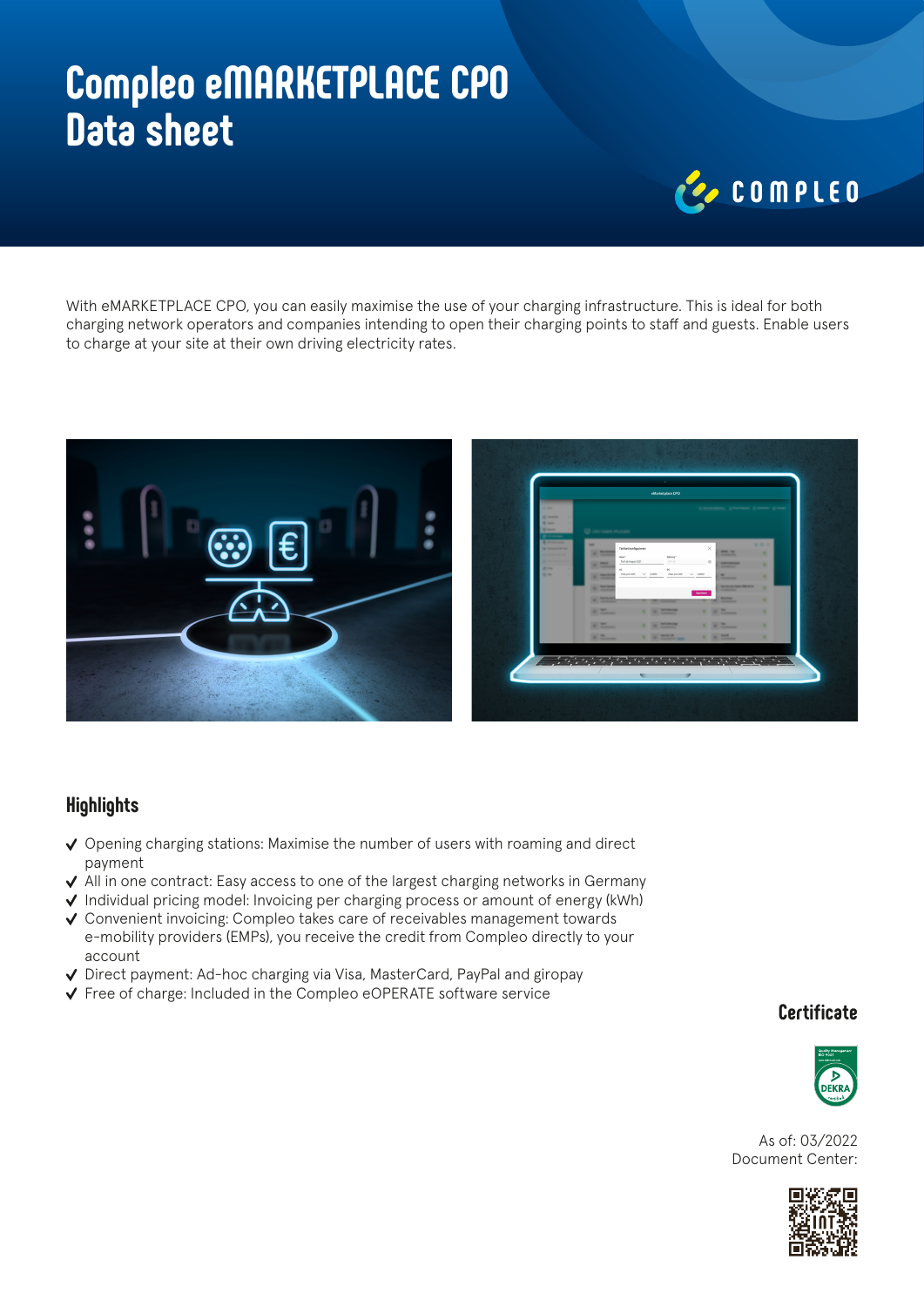# **Compleo eMARKETPLACE CPO Data sheet**



With eMARKETPLACE CPO, you can easily maximise the use of your charging infrastructure. This is ideal for both charging network operators and companies intending to open their charging points to staff and guests. Enable users to charge at your site at their own driving electricity rates.



## **Highlights**

- $\vee$  Opening charging stations: Maximise the number of users with roaming and direct payment
- $\sqrt{\ }$  All in one contract: Easy access to one of the largest charging networks in Germany
- $\checkmark$  Individual pricing model: Invoicing per charging process or amount of energy (kWh)
- Convenient invoicing: Compleo takes care of receivables management towards e-mobility providers (EMPs), you receive the credit from Compleo directly to your account
- ↓ Direct payment: Ad-hoc charging via Visa, MasterCard, PayPal and giropay
- Free of charge: Included in the Compleo eOPERATE software service

#### **Certificate**



As of: 03/2022 Document Center:

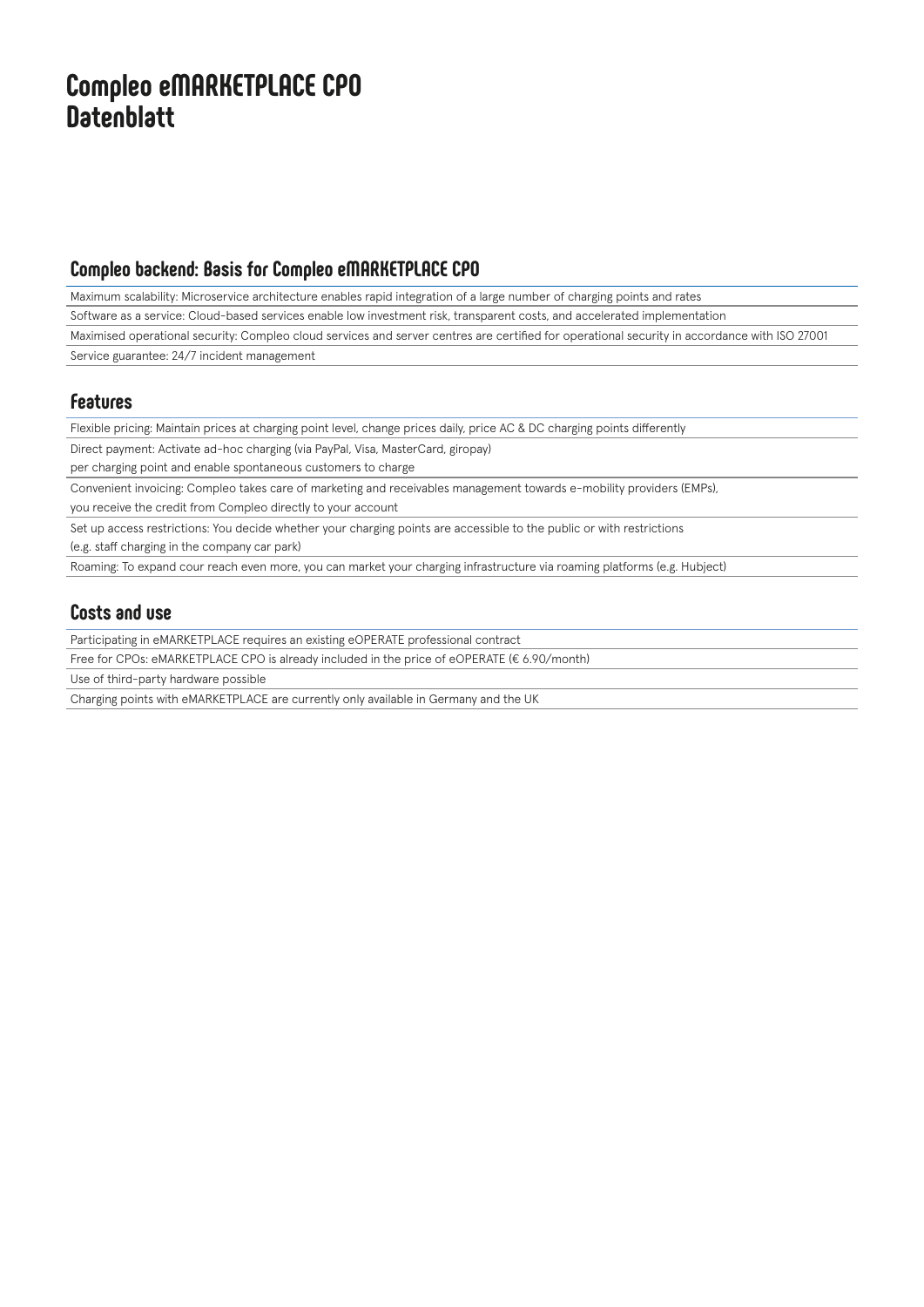# **Compleo eMARKETPLACE CPO Datenblatt**

#### **Compleo backend: Basis for Compleo eMARKETPLACE CPO**

Maximum scalability: Microservice architecture enables rapid integration of a large number of charging points and rates

Software as a service: Cloud-based services enable low investment risk, transparent costs, and accelerated implementation

Maximised operational security: Compleo cloud services and server centres are certified for operational security in accordance with ISO 27001

Service guarantee: 24/7 incident management

#### **Features**

Flexible pricing: Maintain prices at charging point level, change prices daily, price AC & DC charging points differently

Direct payment: Activate ad-hoc charging (via PayPal, Visa, MasterCard, giropay)

per charging point and enable spontaneous customers to charge

Convenient invoicing: Compleo takes care of marketing and receivables management towards e-mobility providers (EMPs),

you receive the credit from Compleo directly to your account

Set up access restrictions: You decide whether your charging points are accessible to the public or with restrictions

(e.g. staff charging in the company car park)

Roaming: To expand cour reach even more, you can market your charging infrastructure via roaming platforms (e.g. Hubject)

## **Costs and use**

Participating in eMARKETPLACE requires an existing eOPERATE professional contract

Free for CPOs: eMARKETPLACE CPO is already included in the price of eOPERATE (€ 6.90/month)

Use of third-party hardware possible

Charging points with eMARKETPLACE are currently only available in Germany and the UK